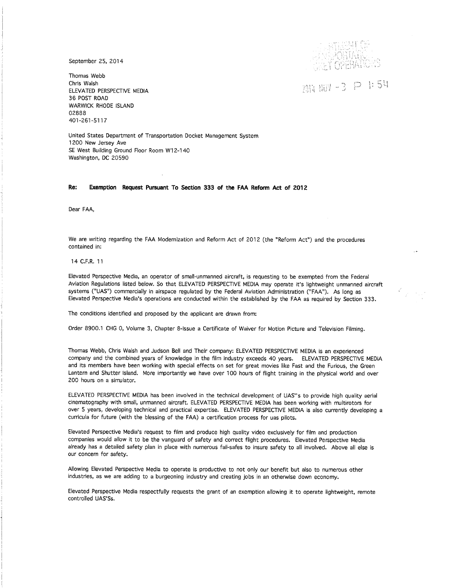September 25, 2014

Thomas Webb Chris Walsh ELEVATED PERSPECTIVE MEDIA 36 POST ROAD WARWICK RHODE ISLAND 02888 401-261-5117

 $5.3\%$  $\ddotsc$ 

2014 NOV -3 P 1:54

United States Department of Transportation Docket Management System 1200 New Jersey Ave SE West Building Ground Floor Room W12-140 Washington, DC 20590

## **Re: Exemption Request Pursuant To Section 333 of the FAA Reform Act of 2012**

Dear FAA,

We are writing regarding the FAA Modernization and Reform Act of 2012 (the "Reform Act") and the procedures contained in:

## 14 C.F.R. 11

Elevated Perspective Media, an operator of small-unmanned aircraft, is requesting to be exempted frorn the Federal Aviation Regulations listed below. So that ELEVATED PERSPECTIVE MEDIA may operate it's lightweight unmanned aircraft systems ("UAS") commercially in airspace regulated by the Federal Aviation Administration ("FAA"). As long as Elevated Perspective Media's operations are conducted within the established by the FAA as required by Section 333.

The conditions identified and proposed by the applicant are drawn from:

Order 8900.1 CHG 0, Volume 3, Chapter 8-lssue a Certificate of Waiver for Motion Picture and Television Filming.

Thomas Webb, Chris Walsh and Judson Bell and Their company: ELEVATED PERSPECTIVE MEDIA is an experienced company and the combined years of knowledge in the film industry exceeds 40 years. ELEVATED PERSPECTIVE MEDIA and its members have been working with special effects on set for great movies like Fast and the Furious, the Green Lantern and Shutter Island. More importantly we have over 100 hours of flight training in the physical world and over 200 hours on a simulator.

ELEVATED PERSPECTIVE MEDIA has been involved in the technical development of UAS"s to provide high quality aerial cinematography with small, unmanned aircraft. ELEVATED PERSPECTIVE MEDIA has been working with multirotors for over 5 years, developing technical and practical expertise. ELEVATED PERSPECTIVE MEDIA is also currently developing a curricula for future (with the blessing of the FAA) a certification process for uas pilots.

Elevated Perspective Media's request to film and produce high quality video exclusively for film and production companies would allow it to be the vanguard of safety and correct flight procedures. Elevated Perspective Media already has a detailed safety plan in place with numerous fail-safes to insure safety to all involved. Above all else is our concern for safety.

Allowing Elevated Perspective Media to operate is productive to not only our benefit but also to numerous other industries, as we are adding to a burgeoning industry and creating jobs in an otherwise down economy.

Elevated Perspective Media respectfully requests the grant of an exemption allowing it to operate lightweight, remote controlled UAS'Ss.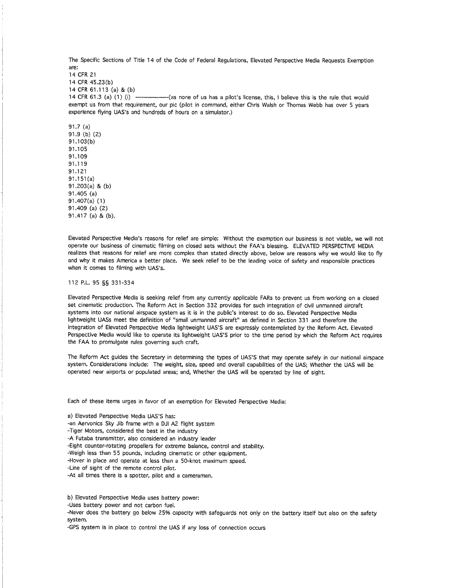The Specific Sections of Title 14 of the Code of Federal Regulations, Elevated Perspective Media Requests Exemption are:

14 CFR 21 14 CFR 45.23(b) 14 CFR 61.113 (a) & (b) 14 CFR 61.3 (a) (1) (i) --------------(as none of us has a pilot's license, this, I believe this is the rule that would exempt us from that requirement, our pic (pilot in command, either Chris Walsh or Thomas Webb has over 5 years experience flying UAS's and hundreds of hours on a simulator.)

91.7 (a) 91.9 (b) (2) 91.1 03(b) 91.1 OS 91.109 91.119 91.121 91.151(a) 91.203(a) & (b) 91.405 (a) 91.407(a) (1) 91.409 (a) (2) 91.417 (a) & (b).

Elevated Perspective Media's reasons for relief are simple: Without the exemption our business is not viable, we will not operate our business of cinematic filming on closed sets without the FAA's blessing. ELEVATED PERSPECTIVE MEDIA realizes that reasons for relief are more complex than stated directly above, below are reasons why we would like to fly and why it makes America a better place. We seek relief to be the leading voice of safety and responsible practices when it comes to filming with UAS's.

112 P.L. 95 §§ 331-334

Elevated Perspective Media is seeking relief from any currently applicable FARs to prevent us from working on a closed set cinematic production. The Reform Act in Section 332 provides for such integration of civil unmanned aircraft systems into our national airspace system as it is in the public's interest to do so. Elevated Perspective Media lightweight UASs meet the definition of "small unmanned aircraft" as defined in Section 331 and therefore the integration of Elevated Perspective Media lightweight UAS'S are expressly contemplated by the Reform Act. Elevated Perspective Media would like to operate its lightweight UAS'S prior to the time period by which the Reform Act requires the FAA to promulgate rules governing such craft.

The Reform Act guides the Secretary in determining the types of UAS'S that may operate safely in our national airspace system. Considerations include: The weight, size, speed and overall capabilities of the UAS; Whether the UAS will be operated near airports or populated areas; and, Whether the UAS will be operated by line of sight.

Each of these items urges in favor of an exemption for Elevated Perspective Media:

a) Elevated Perspective Media UAS'S has:

-an Aervonics Sky Jib frame with a DJI A2 flight system

-Tiger Motors, considered the best in the industry

-A Futaba transmitter, also considered an industry leader

-Eight counter-rotating propellers for extreme balance, control and stability.

-Weigh less than 55 pounds, including cinematic or other equipment.

-Hover in place and operate at less than a 50-knot maximum speed.

-Line of sight of the remote control pilot.

-At all times there is a spotter, pilot and a cameraman.

b) Elevated Perspective Media uses battery power:

-Uses battery power and not carbon fuel.

-Never does the battery go below 25% capacity with safeguards not only on the battery itself but also on the safety system.

-GPS system is in place to control the UAS if any loss of connection occurs